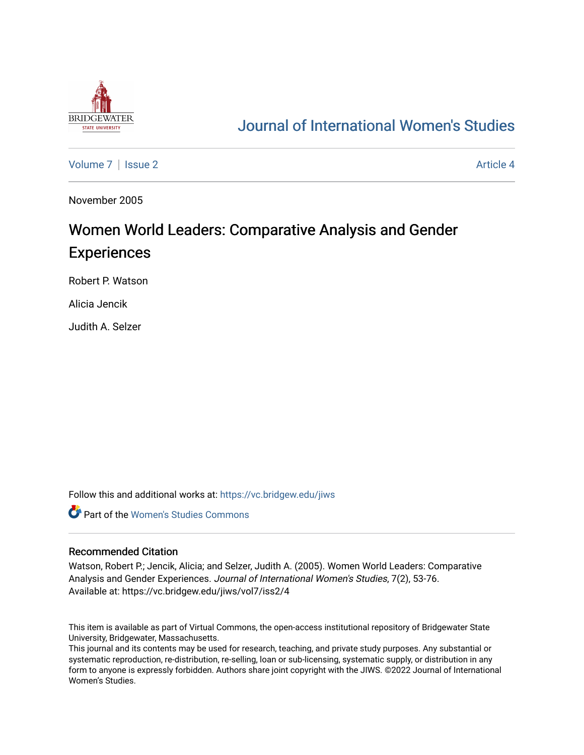

## [Journal of International Women's Studies](https://vc.bridgew.edu/jiws)

[Volume 7](https://vc.bridgew.edu/jiws/vol7) | [Issue 2](https://vc.bridgew.edu/jiws/vol7/iss2) Article 4

November 2005

# Women World Leaders: Comparative Analysis and Gender Experiences

Robert P. Watson

Alicia Jencik

Judith A. Selzer

Follow this and additional works at: [https://vc.bridgew.edu/jiws](https://vc.bridgew.edu/jiws?utm_source=vc.bridgew.edu%2Fjiws%2Fvol7%2Fiss2%2F4&utm_medium=PDF&utm_campaign=PDFCoverPages)

**C** Part of the Women's Studies Commons

#### Recommended Citation

Watson, Robert P.; Jencik, Alicia; and Selzer, Judith A. (2005). Women World Leaders: Comparative Analysis and Gender Experiences. Journal of International Women's Studies, 7(2), 53-76. Available at: https://vc.bridgew.edu/jiws/vol7/iss2/4

This item is available as part of Virtual Commons, the open-access institutional repository of Bridgewater State University, Bridgewater, Massachusetts.

This journal and its contents may be used for research, teaching, and private study purposes. Any substantial or systematic reproduction, re-distribution, re-selling, loan or sub-licensing, systematic supply, or distribution in any form to anyone is expressly forbidden. Authors share joint copyright with the JIWS. ©2022 Journal of International Women's Studies.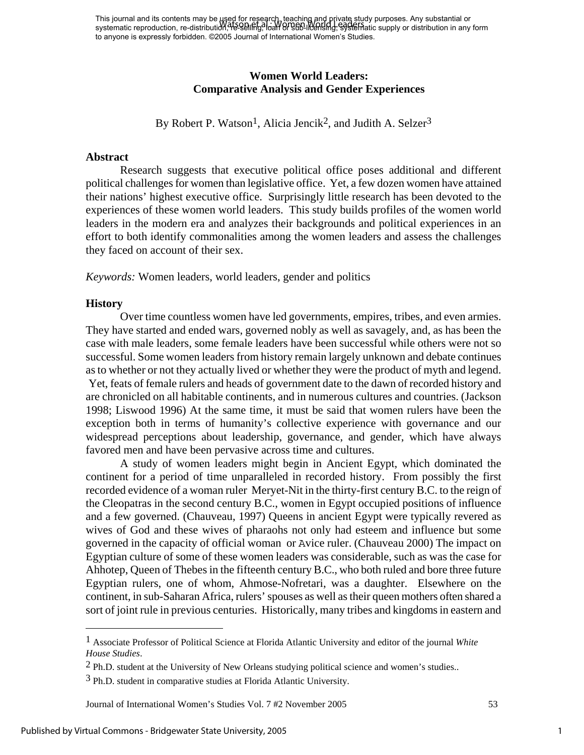This journal and its contents may be used for research, teaching and private study purposes. Any substantial or This journal and its contents may be aged for research, reading any privated study parposes. Any substantial or<br>systematic reproduction, re-distribution, Te-Selling, loan Or SED-licensing, Systematic supply or distribution to anyone is expressly forbidden. ©2005 Journal of International Women's Studies.

#### **Women World Leaders: Comparative Analysis and Gender Experiences**

By Robert P. Watson<sup>1</sup>, Alicia Jencik<sup>2</sup>, and Judith A. Selzer<sup>3</sup>

#### **Abstract**

 Research suggests that executive political office poses additional and different political challenges for women than legislative office. Yet, a few dozen women have attained their nations' highest executive office. Surprisingly little research has been devoted to the experiences of these women world leaders. This study builds profiles of the women world leaders in the modern era and analyzes their backgrounds and political experiences in an effort to both identify commonalities among the women leaders and assess the challenges they faced on account of their sex.

*Keywords:* Women leaders, world leaders, gender and politics

#### **History**

1

Over time countless women have led governments, empires, tribes, and even armies. They have started and ended wars, governed nobly as well as savagely, and, as has been the case with male leaders, some female leaders have been successful while others were not so successful. Some women leaders from history remain largely unknown and debate continues as to whether or not they actually lived or whether they were the product of myth and legend. Yet, feats of female rulers and heads of government date to the dawn of recorded history and are chronicled on all habitable continents, and in numerous cultures and countries. (Jackson 1998; Liswood 1996) At the same time, it must be said that women rulers have been the exception both in terms of humanity's collective experience with governance and our widespread perceptions about leadership, governance, and gender, which have always favored men and have been pervasive across time and cultures.

A study of women leaders might begin in Ancient Egypt, which dominated the continent for a period of time unparalleled in recorded history. From possibly the first recorded evidence of a woman ruler Meryet-Nit in the thirty-first century B.C. to the reign of the Cleopatras in the second century B.C., women in Egypt occupied positions of influence and a few governed. (Chauveau, 1997) Queens in ancient Egypt were typically revered as wives of God and these wives of pharaohs not only had esteem and influence but some governed in the capacity of official woman or Avice ruler. (Chauveau 2000) The impact on Egyptian culture of some of these women leaders was considerable, such as was the case for Ahhotep, Queen of Thebes in the fifteenth century B.C., who both ruled and bore three future Egyptian rulers, one of whom, Ahmose-Nofretari, was a daughter. Elsewhere on the continent, in sub-Saharan Africa, rulers' spouses as well as their queen mothers often shared a sort of joint rule in previous centuries. Historically, many tribes and kingdoms in eastern and

Journal of International Women's Studies Vol. 7 #2 November 2005 53

1

<span id="page-1-0"></span><sup>1</sup> Associate Professor of Political Science at Florida Atlantic University and editor of the journal *White House Studies*.

<span id="page-1-1"></span><sup>2</sup> Ph.D. student at the University of New Orleans studying political science and women's studies..

<span id="page-1-2"></span><sup>3</sup> Ph.D. student in comparative studies at Florida Atlantic University.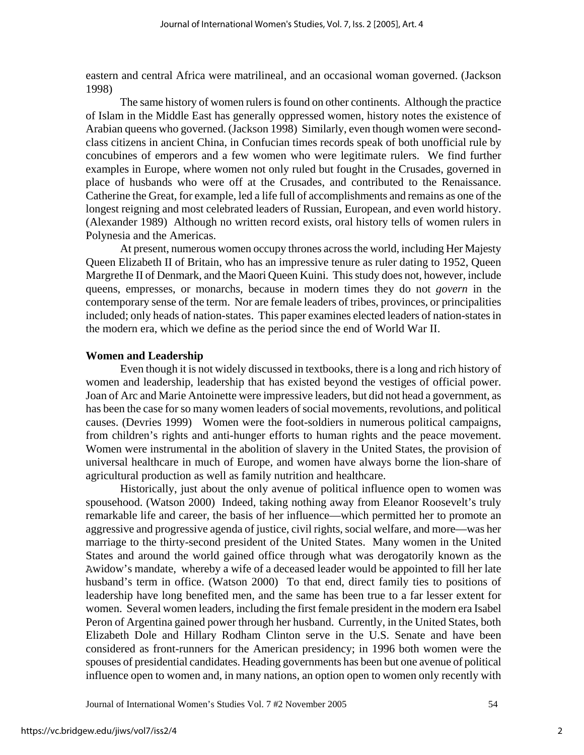eastern and central Africa were matrilineal, and an occasional woman governed. (Jackson 1998)

The same history of women rulers is found on other continents. Although the practice of Islam in the Middle East has generally oppressed women, history notes the existence of Arabian queens who governed. (Jackson 1998) Similarly, even though women were secondclass citizens in ancient China, in Confucian times records speak of both unofficial rule by concubines of emperors and a few women who were legitimate rulers. We find further examples in Europe, where women not only ruled but fought in the Crusades, governed in place of husbands who were off at the Crusades, and contributed to the Renaissance. Catherine the Great, for example, led a life full of accomplishments and remains as one of the longest reigning and most celebrated leaders of Russian, European, and even world history. (Alexander 1989) Although no written record exists, oral history tells of women rulers in Polynesia and the Americas.

At present, numerous women occupy thrones across the world, including Her Majesty Queen Elizabeth II of Britain, who has an impressive tenure as ruler dating to 1952, Queen Margrethe II of Denmark, and the Maori Queen Kuini. This study does not, however, include queens, empresses, or monarchs, because in modern times they do not *govern* in the contemporary sense of the term. Nor are female leaders of tribes, provinces, or principalities included; only heads of nation-states. This paper examines elected leaders of nation-states in the modern era, which we define as the period since the end of World War II.

#### **Women and Leadership**

Even though it is not widely discussed in textbooks, there is a long and rich history of women and leadership, leadership that has existed beyond the vestiges of official power. Joan of Arc and Marie Antoinette were impressive leaders, but did not head a government, as has been the case for so many women leaders of social movements, revolutions, and political causes. (Devries 1999) Women were the foot-soldiers in numerous political campaigns, from children's rights and anti-hunger efforts to human rights and the peace movement. Women were instrumental in the abolition of slavery in the United States, the provision of universal healthcare in much of Europe, and women have always borne the lion-share of agricultural production as well as family nutrition and healthcare.

Historically, just about the only avenue of political influence open to women was spousehood. (Watson 2000) Indeed, taking nothing away from Eleanor Roosevelt's truly remarkable life and career, the basis of her influence—which permitted her to promote an aggressive and progressive agenda of justice, civil rights, social welfare, and more—was her marriage to the thirty-second president of the United States. Many women in the United States and around the world gained office through what was derogatorily known as the Awidow's mandate, whereby a wife of a deceased leader would be appointed to fill her late husband's term in office. (Watson 2000) To that end, direct family ties to positions of leadership have long benefited men, and the same has been true to a far lesser extent for women. Several women leaders, including the first female president in the modern era Isabel Peron of Argentina gained power through her husband. Currently, in the United States, both Elizabeth Dole and Hillary Rodham Clinton serve in the U.S. Senate and have been considered as front-runners for the American presidency; in 1996 both women were the spouses of presidential candidates. Heading governments has been but one avenue of political influence open to women and, in many nations, an option open to women only recently with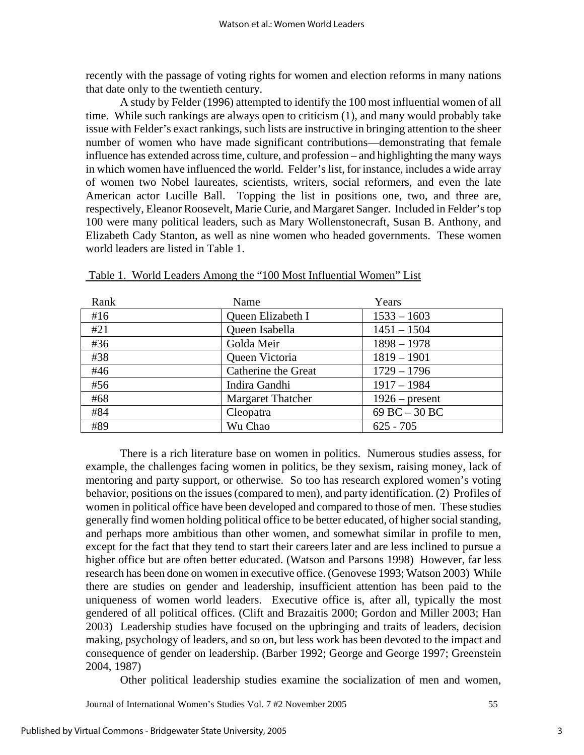recently with the passage of voting rights for women and election reforms in many nations that date only to the twentieth century.

A study by Felder (1996) attempted to identify the 100 most influential women of all time. While such rankings are always open to criticism (1), and many would probably take issue with Felder's exact rankings, such lists are instructive in bringing attention to the sheer number of women who have made significant contributions—demonstrating that female influence has extended across time, culture, and profession – and highlighting the many ways in which women have influenced the world. Felder's list, for instance, includes a wide array of women two Nobel laureates, scientists, writers, social reformers, and even the late American actor Lucille Ball. Topping the list in positions one, two, and three are, respectively, Eleanor Roosevelt, Marie Curie, and Margaret Sanger. Included in Felder's top 100 were many political leaders, such as Mary Wollenstonecraft, Susan B. Anthony, and Elizabeth Cady Stanton, as well as nine women who headed governments. These women world leaders are listed in Table 1.

| Rank | Name                     | Years            |
|------|--------------------------|------------------|
| #16  | Queen Elizabeth I        | $1533 - 1603$    |
| #21  | Queen Isabella           | $1451 - 1504$    |
| #36  | Golda Meir               | $1898 - 1978$    |
| #38  | Queen Victoria           | $1819 - 1901$    |
| #46  | Catherine the Great      | $1729 - 1796$    |
| #56  | Indira Gandhi            | $1917 - 1984$    |
| #68  | <b>Margaret Thatcher</b> | $1926$ – present |
| #84  | Cleopatra                | 69 BC $-30$ BC   |
| #89  | Wu Chao                  | $625 - 705$      |

Table 1. World Leaders Among the "100 Most Influential Women" List

There is a rich literature base on women in politics. Numerous studies assess, for example, the challenges facing women in politics, be they sexism, raising money, lack of mentoring and party support, or otherwise. So too has research explored women's voting behavior, positions on the issues (compared to men), and party identification. (2) Profiles of women in political office have been developed and compared to those of men. These studies generally find women holding political office to be better educated, of higher social standing, and perhaps more ambitious than other women, and somewhat similar in profile to men, except for the fact that they tend to start their careers later and are less inclined to pursue a higher office but are often better educated. (Watson and Parsons 1998) However, far less research has been done on women in executive office. (Genovese 1993; Watson 2003) While there are studies on gender and leadership, insufficient attention has been paid to the uniqueness of women world leaders. Executive office is, after all, typically the most gendered of all political offices. (Clift and Brazaitis 2000; Gordon and Miller 2003; Han 2003) Leadership studies have focused on the upbringing and traits of leaders, decision making, psychology of leaders, and so on, but less work has been devoted to the impact and consequence of gender on leadership. (Barber 1992; George and George 1997; Greenstein 2004, 1987)

Other political leadership studies examine the socialization of men and women,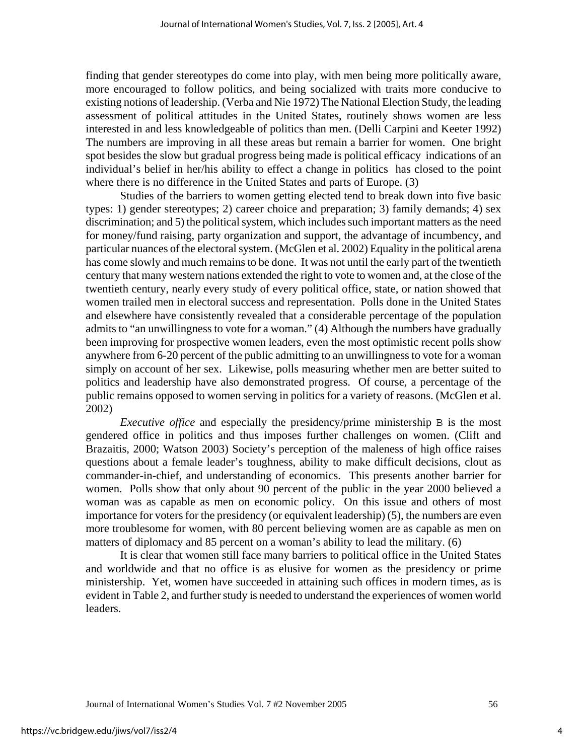finding that gender stereotypes do come into play, with men being more politically aware, more encouraged to follow politics, and being socialized with traits more conducive to existing notions of leadership. (Verba and Nie 1972) The National Election Study, the leading assessment of political attitudes in the United States, routinely shows women are less interested in and less knowledgeable of politics than men. (Delli Carpini and Keeter 1992) The numbers are improving in all these areas but remain a barrier for women. One bright spot besides the slow but gradual progress being made is political efficacy indications of an individual's belief in her/his ability to effect a change in politics has closed to the point where there is no difference in the United States and parts of Europe. (3)

Studies of the barriers to women getting elected tend to break down into five basic types: 1) gender stereotypes; 2) career choice and preparation; 3) family demands; 4) sex discrimination; and 5) the political system, which includes such important matters as the need for money/fund raising, party organization and support, the advantage of incumbency, and particular nuances of the electoral system. (McGlen et al. 2002) Equality in the political arena has come slowly and much remains to be done. It was not until the early part of the twentieth century that many western nations extended the right to vote to women and, at the close of the twentieth century, nearly every study of every political office, state, or nation showed that women trailed men in electoral success and representation. Polls done in the United States and elsewhere have consistently revealed that a considerable percentage of the population admits to "an unwillingness to vote for a woman." (4) Although the numbers have gradually been improving for prospective women leaders, even the most optimistic recent polls show anywhere from 6-20 percent of the public admitting to an unwillingness to vote for a woman simply on account of her sex. Likewise, polls measuring whether men are better suited to politics and leadership have also demonstrated progress. Of course, a percentage of the public remains opposed to women serving in politics for a variety of reasons. (McGlen et al. 2002)

*Executive office* and especially the presidency/prime ministership B is the most gendered office in politics and thus imposes further challenges on women. (Clift and Brazaitis, 2000; Watson 2003) Society's perception of the maleness of high office raises questions about a female leader's toughness, ability to make difficult decisions, clout as commander-in-chief, and understanding of economics. This presents another barrier for women. Polls show that only about 90 percent of the public in the year 2000 believed a woman was as capable as men on economic policy. On this issue and others of most importance for voters for the presidency (or equivalent leadership) (5), the numbers are even more troublesome for women, with 80 percent believing women are as capable as men on matters of diplomacy and 85 percent on a woman's ability to lead the military. (6)

It is clear that women still face many barriers to political office in the United States and worldwide and that no office is as elusive for women as the presidency or prime ministership. Yet, women have succeeded in attaining such offices in modern times, as is evident in Table 2, and further study is needed to understand the experiences of women world leaders.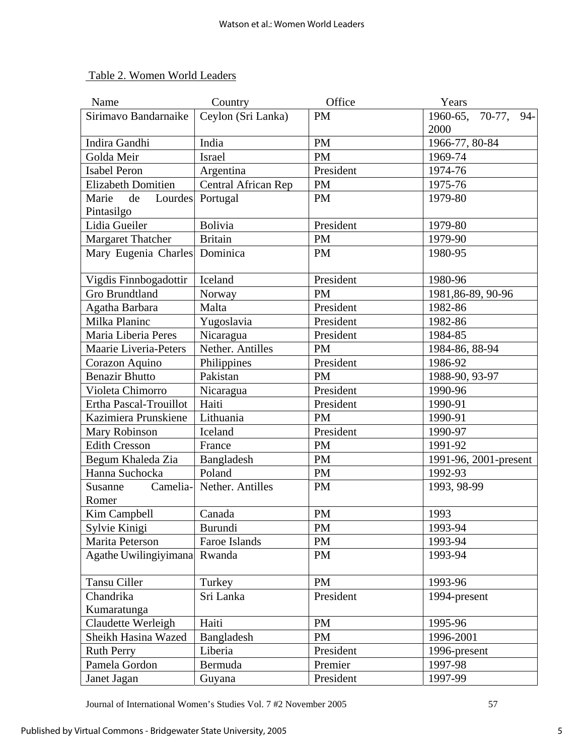| Table 2. Women World Leaders |  |  |
|------------------------------|--|--|
|                              |  |  |

| Name                         | Country             | Office    | Years                 |
|------------------------------|---------------------|-----------|-----------------------|
| Sirimavo Bandarnaike         | Ceylon (Sri Lanka)  | <b>PM</b> | 1960-65, 70-77, 94-   |
|                              |                     |           | 2000                  |
| Indira Gandhi                | India               | <b>PM</b> | 1966-77, 80-84        |
| Golda Meir                   | Israel              | <b>PM</b> | 1969-74               |
| <b>Isabel Peron</b>          | Argentina           | President | 1974-76               |
| <b>Elizabeth Domitien</b>    | Central African Rep | <b>PM</b> | 1975-76               |
| Lourdes<br>Marie<br>de       | Portugal            | <b>PM</b> | 1979-80               |
| Pintasilgo                   |                     |           |                       |
| Lidia Gueiler                | <b>Bolivia</b>      | President | 1979-80               |
| <b>Margaret Thatcher</b>     | <b>Britain</b>      | <b>PM</b> | 1979-90               |
| Mary Eugenia Charles         | Dominica            | <b>PM</b> | 1980-95               |
|                              |                     |           |                       |
| Vigdis Finnbogadottir        | Iceland             | President | 1980-96               |
| <b>Gro Brundtland</b>        | Norway              | <b>PM</b> | 1981, 86-89, 90-96    |
| Agatha Barbara               | Malta               | President | 1982-86               |
| Milka Planinc                | Yugoslavia          | President | 1982-86               |
| Maria Liberia Peres          | Nicaragua           | President | 1984-85               |
| <b>Maarie Liveria-Peters</b> | Nether. Antilles    | <b>PM</b> | 1984-86, 88-94        |
| Corazon Aquino               | Philippines         | President | 1986-92               |
| <b>Benazir Bhutto</b>        | Pakistan            | <b>PM</b> | 1988-90, 93-97        |
| Violeta Chimorro             | Nicaragua           | President | 1990-96               |
| Ertha Pascal-Trouillot       | Haiti               | President | 1990-91               |
| Kazimiera Prunskiene         | Lithuania           | <b>PM</b> | 1990-91               |
| Mary Robinson                | Iceland             | President | 1990-97               |
| <b>Edith Cresson</b>         | France              | <b>PM</b> | 1991-92               |
| Begum Khaleda Zia            | Bangladesh          | <b>PM</b> | 1991-96, 2001-present |
| Hanna Suchocka               | Poland              | <b>PM</b> | 1992-93               |
| Camelia-<br>Susanne          | Nether. Antilles    | <b>PM</b> | 1993, 98-99           |
| Romer                        |                     |           |                       |
| Kim Campbell                 | Canada              | <b>PM</b> | 1993                  |
| Sylvie Kinigi                | Burundi             | <b>PM</b> | 1993-94               |
| Marita Peterson              | Faroe Islands       | <b>PM</b> | 1993-94               |
| Agathe Uwilingiyimana        | Rwanda              | <b>PM</b> | 1993-94               |
|                              |                     |           |                       |
| Tansu Ciller                 | Turkey              | PM        | 1993-96               |
| Chandrika                    | Sri Lanka           | President | 1994-present          |
| Kumaratunga                  |                     |           |                       |
| Claudette Werleigh           | Haiti               | <b>PM</b> | 1995-96               |
| Sheikh Hasina Wazed          | Bangladesh          | <b>PM</b> | 1996-2001             |
| <b>Ruth Perry</b>            | Liberia             | President | 1996-present          |
| Pamela Gordon                | Bermuda             | Premier   | 1997-98               |
| Janet Jagan                  | Guyana              | President | 1997-99               |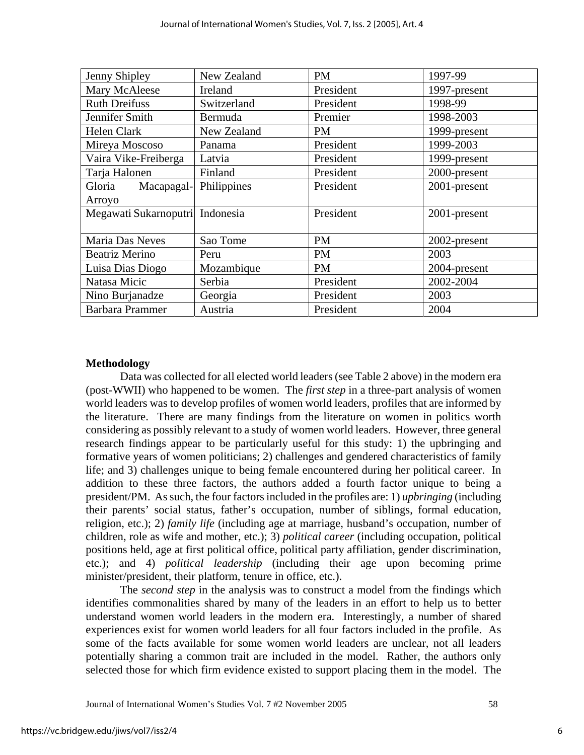| Jenny Shipley                   | New Zealand | <b>PM</b> | 1997-99      |
|---------------------------------|-------------|-----------|--------------|
| Mary McAleese                   | Ireland     | President | 1997-present |
| <b>Ruth Dreifuss</b>            | Switzerland | President | 1998-99      |
| Jennifer Smith                  | Bermuda     | Premier   | 1998-2003    |
| <b>Helen Clark</b>              | New Zealand | <b>PM</b> | 1999-present |
| Mireya Moscoso                  | Panama      | President | 1999-2003    |
| Vaira Vike-Freiberga            | Latvia      | President | 1999-present |
| Tarja Halonen                   | Finland     | President | 2000-present |
| Gloria<br>Macapagal-            | Philippines | President | 2001-present |
| Arroyo                          |             |           |              |
| Megawati Sukarnoputri Indonesia |             | President | 2001-present |
|                                 |             |           |              |
| Maria Das Neves                 | Sao Tome    | <b>PM</b> | 2002-present |
| <b>Beatriz Merino</b>           | Peru        | <b>PM</b> | 2003         |
| Luisa Dias Diogo                | Mozambique  | <b>PM</b> | 2004-present |
| Natasa Micic                    | Serbia      | President | 2002-2004    |
| Nino Burjanadze                 | Georgia     | President | 2003         |
| <b>Barbara Prammer</b>          | Austria     | President | 2004         |

#### **Methodology**

Data was collected for all elected world leaders (see Table 2 above) in the modern era (post-WWII) who happened to be women. The *first step* in a three-part analysis of women world leaders was to develop profiles of women world leaders, profiles that are informed by the literature. There are many findings from the literature on women in politics worth considering as possibly relevant to a study of women world leaders. However, three general research findings appear to be particularly useful for this study: 1) the upbringing and formative years of women politicians; 2) challenges and gendered characteristics of family life; and 3) challenges unique to being female encountered during her political career. In addition to these three factors, the authors added a fourth factor unique to being a president/PM. As such, the four factors included in the profiles are: 1) *upbringing* (including their parents' social status, father's occupation, number of siblings, formal education, religion, etc.); 2) *family life* (including age at marriage, husband's occupation, number of children, role as wife and mother, etc.); 3) *political career* (including occupation, political positions held, age at first political office, political party affiliation, gender discrimination, etc.); and 4) *political leadership* (including their age upon becoming prime minister/president, their platform, tenure in office, etc.).

The *second step* in the analysis was to construct a model from the findings which identifies commonalities shared by many of the leaders in an effort to help us to better understand women world leaders in the modern era. Interestingly, a number of shared experiences exist for women world leaders for all four factors included in the profile. As some of the facts available for some women world leaders are unclear, not all leaders potentially sharing a common trait are included in the model. Rather, the authors only selected those for which firm evidence existed to support placing them in the model. The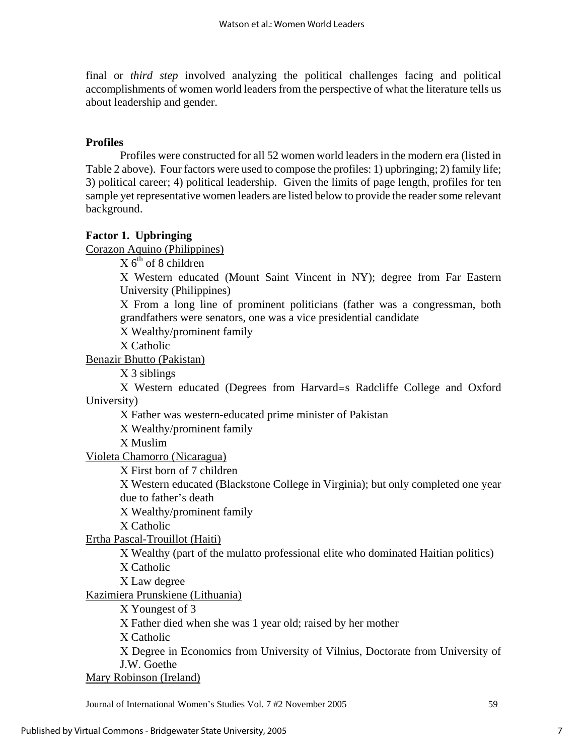final or *third step* involved analyzing the political challenges facing and political accomplishments of women world leaders from the perspective of what the literature tells us about leadership and gender.

### **Profiles**

Profiles were constructed for all 52 women world leaders in the modern era (listed in Table 2 above). Four factors were used to compose the profiles: 1) upbringing; 2) family life; 3) political career; 4) political leadership. Given the limits of page length, profiles for ten sample yet representative women leaders are listed below to provide the reader some relevant background.

#### **Factor 1. Upbringing**

Corazon Aquino (Philippines)

 $X$  6<sup>th</sup> of 8 children

Χ Western educated (Mount Saint Vincent in NY); degree from Far Eastern University (Philippines)

Χ From a long line of prominent politicians (father was a congressman, both grandfathers were senators, one was a vice presidential candidate

Χ Wealthy/prominent family

Χ Catholic

Benazir Bhutto (Pakistan)

Χ 3 siblings

Χ Western educated (Degrees from Harvard=s Radcliffe College and Oxford University)

Χ Father was western-educated prime minister of Pakistan

Χ Wealthy/prominent family

Χ Muslim

Violeta Chamorro (Nicaragua)

Χ First born of 7 children

Χ Western educated (Blackstone College in Virginia); but only completed one year due to father's death

Χ Wealthy/prominent family

Χ Catholic

Ertha Pascal-Trouillot (Haiti)

Χ Wealthy (part of the mulatto professional elite who dominated Haitian politics)

Χ Catholic

Χ Law degree

Kazimiera Prunskiene (Lithuania)

Χ Youngest of 3

Χ Father died when she was 1 year old; raised by her mother

Χ Catholic

Χ Degree in Economics from University of Vilnius, Doctorate from University of J.W. Goethe

Mary Robinson (Ireland)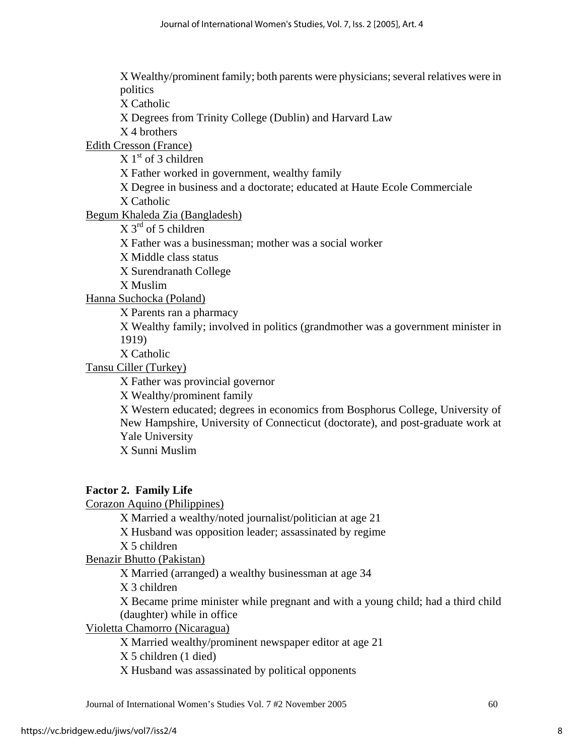Χ Wealthy/prominent family; both parents were physicians; several relatives were in politics Χ Catholic Χ Degrees from Trinity College (Dublin) and Harvard Law Χ 4 brothers Edith Cresson (France)  $X 1<sup>st</sup>$  of 3 children Χ Father worked in government, wealthy family Χ Degree in business and a doctorate; educated at Haute Ecole Commerciale Χ Catholic Begum Khaleda Zia (Bangladesh)  $X$  3<sup>rd</sup> of 5 children Χ Father was a businessman; mother was a social worker Χ Middle class status Χ Surendranath College Χ Muslim Hanna Suchocka (Poland) Χ Parents ran a pharmacy Χ Wealthy family; involved in politics (grandmother was a government minister in 1919) Χ Catholic Tansu Ciller (Turkey) Χ Father was provincial governor Χ Wealthy/prominent family Χ Western educated; degrees in economics from Bosphorus College, University of

New Hampshire, University of Connecticut (doctorate), and post-graduate work at Yale University

Χ Sunni Muslim

## **Factor 2. Family Life**

Corazon Aquino (Philippines)

Χ Married a wealthy/noted journalist/politician at age 21

Χ Husband was opposition leader; assassinated by regime

Χ 5 children

Benazir Bhutto (Pakistan)

Χ Married (arranged) a wealthy businessman at age 34

Χ 3 children

Χ Became prime minister while pregnant and with a young child; had a third child (daughter) while in office

Violetta Chamorro (Nicaragua)

Χ Married wealthy/prominent newspaper editor at age 21

Χ 5 children (1 died)

Χ Husband was assassinated by political opponents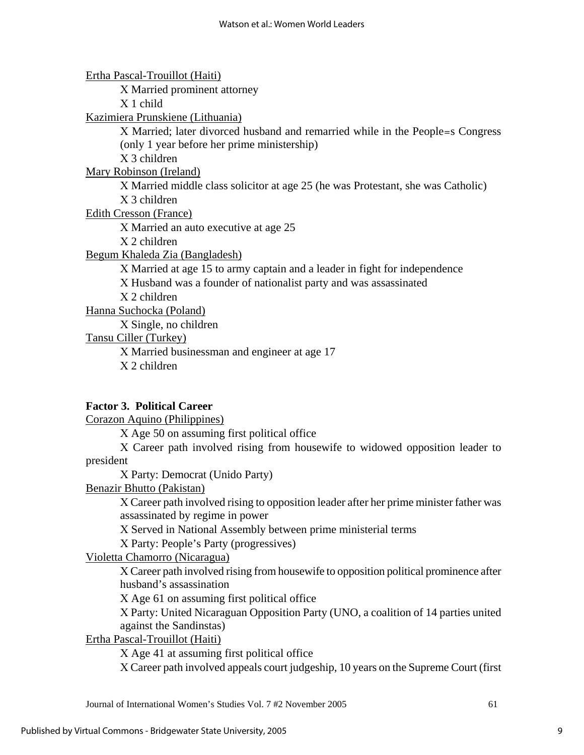Ertha Pascal-Trouillot (Haiti)

Χ Married prominent attorney

Χ 1 child

Kazimiera Prunskiene (Lithuania)

Χ Married; later divorced husband and remarried while in the People=s Congress (only 1 year before her prime ministership)

Χ 3 children

Mary Robinson (Ireland)

Χ Married middle class solicitor at age 25 (he was Protestant, she was Catholic) Χ 3 children

Edith Cresson (France)

Χ Married an auto executive at age 25

Χ 2 children

Begum Khaleda Zia (Bangladesh)

Χ Married at age 15 to army captain and a leader in fight for independence

Χ Husband was a founder of nationalist party and was assassinated

Χ 2 children

Hanna Suchocka (Poland)

Χ Single, no children

Tansu Ciller (Turkey)

Χ Married businessman and engineer at age 17 Χ 2 children

## **Factor 3. Political Career**

Corazon Aquino (Philippines)

Χ Age 50 on assuming first political office

Χ Career path involved rising from housewife to widowed opposition leader to president

Χ Party: Democrat (Unido Party)

Benazir Bhutto (Pakistan)

Χ Career path involved rising to opposition leader after her prime minister father was assassinated by regime in power

Χ Served in National Assembly between prime ministerial terms

Χ Party: People's Party (progressives)

Violetta Chamorro (Nicaragua)

Χ Career path involved rising from housewife to opposition political prominence after husband's assassination

Χ Age 61 on assuming first political office

Χ Party: United Nicaraguan Opposition Party (UNO, a coalition of 14 parties united against the Sandinstas)

Ertha Pascal-Trouillot (Haiti)

Χ Age 41 at assuming first political office

Χ Career path involved appeals court judgeship, 10 years on the Supreme Court (first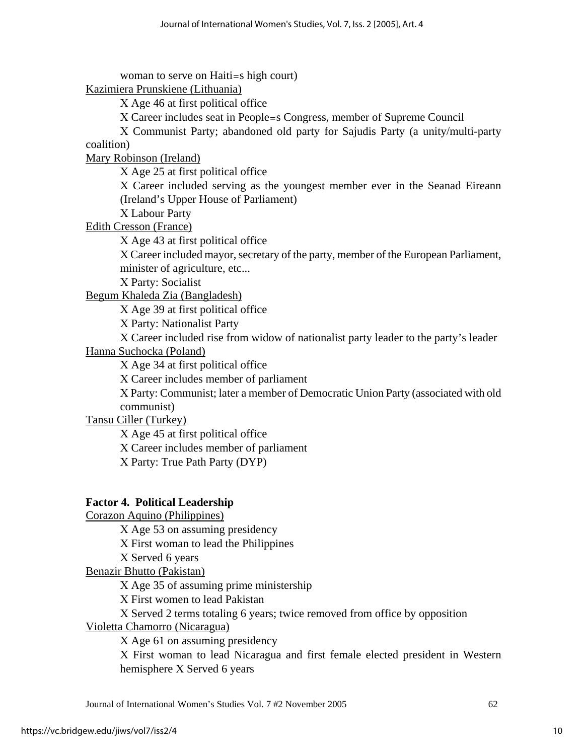woman to serve on Haiti=s high court) Kazimiera Prunskiene (Lithuania) Χ Age 46 at first political office Χ Career includes seat in People=s Congress, member of Supreme Council Χ Communist Party; abandoned old party for Sajudis Party (a unity/multi-party coalition) Mary Robinson (Ireland) Χ Age 25 at first political office Χ Career included serving as the youngest member ever in the Seanad Eireann (Ireland's Upper House of Parliament) Χ Labour Party Edith Cresson (France) Χ Age 43 at first political office Χ Career included mayor, secretary of the party, member of the European Parliament, minister of agriculture, etc... Χ Party: Socialist Begum Khaleda Zia (Bangladesh) Χ Age 39 at first political office Χ Party: Nationalist Party Χ Career included rise from widow of nationalist party leader to the party's leader Hanna Suchocka (Poland) Χ Age 34 at first political office Χ Career includes member of parliament Χ Party: Communist; later a member of Democratic Union Party (associated with old communist) Tansu Ciller (Turkey) Χ Age 45 at first political office Χ Career includes member of parliament Χ Party: True Path Party (DYP) **Factor 4. Political Leadership** Corazon Aquino (Philippines)

Χ Age 53 on assuming presidency Χ First woman to lead the Philippines

Χ Served 6 years

Benazir Bhutto (Pakistan)

Χ Age 35 of assuming prime ministership

Χ First women to lead Pakistan

Χ Served 2 terms totaling 6 years; twice removed from office by opposition

Violetta Chamorro (Nicaragua)

Χ Age 61 on assuming presidency

Χ First woman to lead Nicaragua and first female elected president in Western hemisphere Χ Served 6 years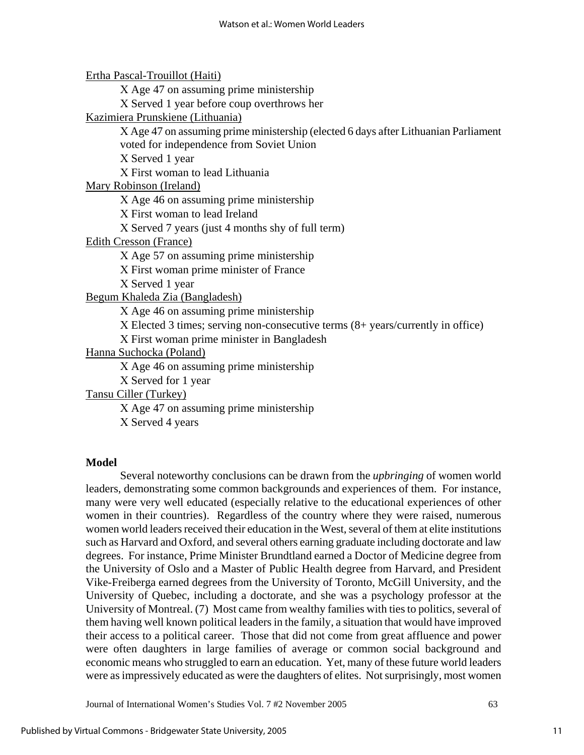Ertha Pascal-Trouillot (Haiti)

Χ Age 47 on assuming prime ministership

Χ Served 1 year before coup overthrows her

## Kazimiera Prunskiene (Lithuania)

Χ Age 47 on assuming prime ministership (elected 6 days after Lithuanian Parliament voted for independence from Soviet Union

Χ Served 1 year

Χ First woman to lead Lithuania

Mary Robinson (Ireland)

Χ Age 46 on assuming prime ministership

Χ First woman to lead Ireland

Χ Served 7 years (just 4 months shy of full term)

Edith Cresson (France)

Χ Age 57 on assuming prime ministership

Χ First woman prime minister of France

Χ Served 1 year

Begum Khaleda Zia (Bangladesh)

Χ Age 46 on assuming prime ministership

Χ Elected 3 times; serving non-consecutive terms (8+ years/currently in office)

Χ First woman prime minister in Bangladesh

Hanna Suchocka (Poland)

Χ Age 46 on assuming prime ministership

Χ Served for 1 year

Tansu Ciller (Turkey)

Χ Age 47 on assuming prime ministership

Χ Served 4 years

#### **Model**

Several noteworthy conclusions can be drawn from the *upbringing* of women world leaders, demonstrating some common backgrounds and experiences of them. For instance, many were very well educated (especially relative to the educational experiences of other women in their countries). Regardless of the country where they were raised, numerous women world leaders received their education in the West, several of them at elite institutions such as Harvard and Oxford, and several others earning graduate including doctorate and law degrees. For instance, Prime Minister Brundtland earned a Doctor of Medicine degree from the University of Oslo and a Master of Public Health degree from Harvard, and President Vike-Freiberga earned degrees from the University of Toronto, McGill University, and the University of Quebec, including a doctorate, and she was a psychology professor at the University of Montreal. (7) Most came from wealthy families with ties to politics, several of them having well known political leaders in the family, a situation that would have improved their access to a political career. Those that did not come from great affluence and power were often daughters in large families of average or common social background and economic means who struggled to earn an education. Yet, many of these future world leaders were as impressively educated as were the daughters of elites. Not surprisingly, most women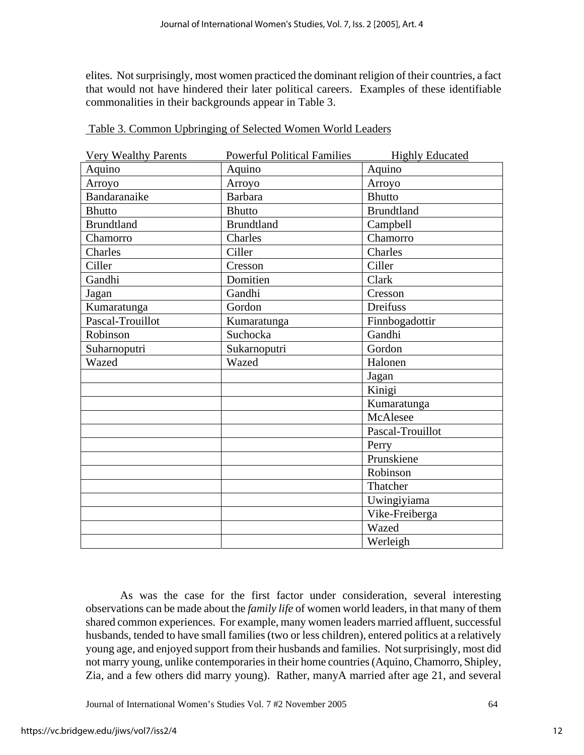elites. Not surprisingly, most women practiced the dominant religion of their countries, a fact that would not have hindered their later political careers. Examples of these identifiable commonalities in their backgrounds appear in Table 3.

| <b>Very Wealthy Parents</b> | <b>Powerful Political Families</b> | <b>Highly Educated</b> |
|-----------------------------|------------------------------------|------------------------|
| Aquino                      | Aquino                             | Aquino                 |
| Arroyo                      | Arroyo                             | Arroyo                 |
| Bandaranaike                | <b>Barbara</b>                     | <b>Bhutto</b>          |
| <b>Bhutto</b>               | <b>Bhutto</b>                      | <b>Brundtland</b>      |
| <b>Brundtland</b>           | <b>Brundtland</b>                  | Campbell               |
| Chamorro                    | Charles                            | Chamorro               |
| Charles                     | Ciller                             | Charles                |
| Ciller                      | Cresson                            | Ciller                 |
| Gandhi                      | Domitien                           | Clark                  |
| Jagan                       | Gandhi                             | Cresson                |
| Kumaratunga                 | Gordon                             | Dreifuss               |
| Pascal-Trouillot            | Kumaratunga                        | Finnbogadottir         |
| Robinson                    | Suchocka                           | Gandhi                 |
| Suharnoputri                | Sukarnoputri                       | Gordon                 |
| Wazed                       | Wazed                              | Halonen                |
|                             |                                    | Jagan                  |
|                             |                                    | Kinigi                 |
|                             |                                    | Kumaratunga            |
|                             |                                    | McAlesee               |
|                             |                                    | Pascal-Trouillot       |
|                             |                                    | Perry                  |
|                             |                                    | Prunskiene             |
|                             |                                    | Robinson               |
|                             |                                    | Thatcher               |
|                             |                                    | Uwingiyiama            |
|                             |                                    | Vike-Freiberga         |
|                             |                                    | Wazed                  |
|                             |                                    | Werleigh               |

Table 3. Common Upbringing of Selected Women World Leaders

 As was the case for the first factor under consideration, several interesting observations can be made about the *family life* of women world leaders, in that many of them shared common experiences. For example, many women leaders married affluent, successful husbands, tended to have small families (two or less children), entered politics at a relatively young age, and enjoyed support from their husbands and families. Not surprisingly, most did not marry young, unlike contemporaries in their home countries (Aquino, Chamorro, Shipley, Zia, and a few others did marry young). Rather, manyA married after age 21, and several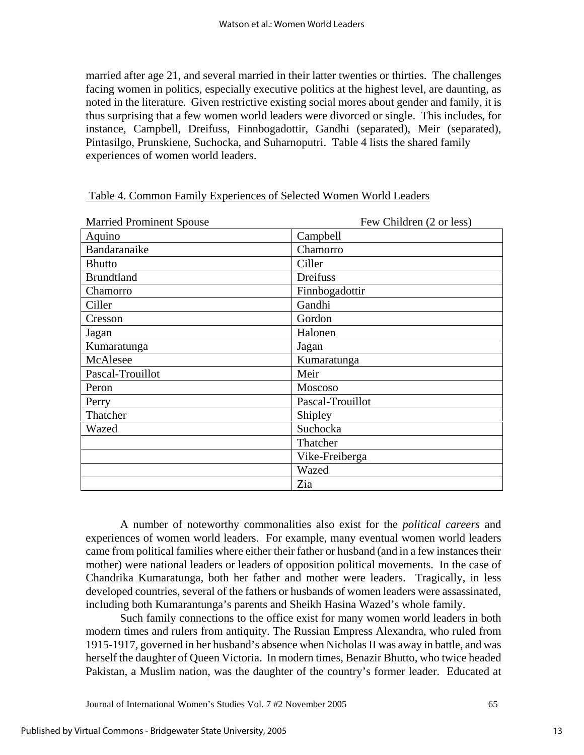married after age 21, and several married in their latter twenties or thirties. The challenges facing women in politics, especially executive politics at the highest level, are daunting, as noted in the literature. Given restrictive existing social mores about gender and family, it is thus surprising that a few women world leaders were divorced or single. This includes, for instance, Campbell, Dreifuss, Finnbogadottir, Gandhi (separated), Meir (separated), Pintasilgo, Prunskiene, Suchocka, and Suharnoputri. Table 4 lists the shared family experiences of women world leaders.

| <b>Married Prominent Spouse</b> | Few Children (2 or less) |
|---------------------------------|--------------------------|
| Aquino                          | Campbell                 |
| Bandaranaike                    | Chamorro                 |
| <b>Bhutto</b>                   | Ciller                   |
| <b>Brundtland</b>               | Dreifuss                 |
| Chamorro                        | Finnbogadottir           |
| Ciller                          | Gandhi                   |
| Cresson                         | Gordon                   |
| Jagan                           | Halonen                  |
| Kumaratunga                     | Jagan                    |
| McAlesee                        | Kumaratunga              |
| Pascal-Trouillot                | Meir                     |
| Peron                           | Moscoso                  |
| Perry                           | Pascal-Trouillot         |
| Thatcher                        | Shipley                  |
| Wazed                           | Suchocka                 |
|                                 | Thatcher                 |
|                                 | Vike-Freiberga           |
|                                 | Wazed                    |
|                                 | Zia                      |

| Table 4. Common Family Experiences of Selected Women World Leaders |
|--------------------------------------------------------------------|
|--------------------------------------------------------------------|

A number of noteworthy commonalities also exist for the *political careers* and experiences of women world leaders. For example, many eventual women world leaders came from political families where either their father or husband (and in a few instances their mother) were national leaders or leaders of opposition political movements. In the case of Chandrika Kumaratunga, both her father and mother were leaders. Tragically, in less developed countries, several of the fathers or husbands of women leaders were assassinated, including both Kumarantunga's parents and Sheikh Hasina Wazed's whole family.

Such family connections to the office exist for many women world leaders in both modern times and rulers from antiquity. The Russian Empress Alexandra, who ruled from 1915-1917, governed in her husband's absence when Nicholas II was away in battle, and was herself the daughter of Queen Victoria. In modern times, Benazir Bhutto, who twice headed Pakistan, a Muslim nation, was the daughter of the country's former leader. Educated at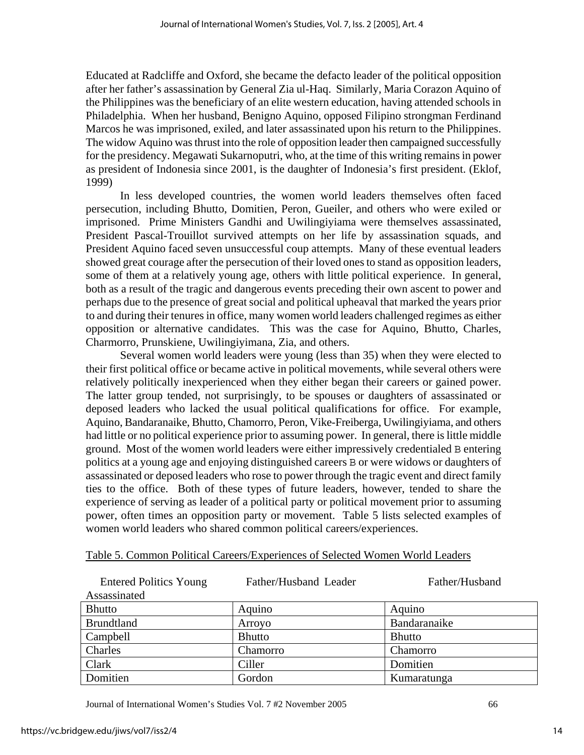Educated at Radcliffe and Oxford, she became the defacto leader of the political opposition after her father's assassination by General Zia ul-Haq. Similarly, Maria Corazon Aquino of the Philippines was the beneficiary of an elite western education, having attended schools in Philadelphia. When her husband, Benigno Aquino, opposed Filipino strongman Ferdinand Marcos he was imprisoned, exiled, and later assassinated upon his return to the Philippines. The widow Aquino was thrust into the role of opposition leader then campaigned successfully for the presidency. Megawati Sukarnoputri, who, at the time of this writing remains in power as president of Indonesia since 2001, is the daughter of Indonesia's first president. (Eklof, 1999)

In less developed countries, the women world leaders themselves often faced persecution, including Bhutto, Domitien, Peron, Gueiler, and others who were exiled or imprisoned. Prime Ministers Gandhi and Uwilingiyiama were themselves assassinated, President Pascal-Trouillot survived attempts on her life by assassination squads, and President Aquino faced seven unsuccessful coup attempts. Many of these eventual leaders showed great courage after the persecution of their loved ones to stand as opposition leaders, some of them at a relatively young age, others with little political experience. In general, both as a result of the tragic and dangerous events preceding their own ascent to power and perhaps due to the presence of great social and political upheaval that marked the years prior to and during their tenures in office, many women world leaders challenged regimes as either opposition or alternative candidates. This was the case for Aquino, Bhutto, Charles, Charmorro, Prunskiene, Uwilingiyimana, Zia, and others.

Several women world leaders were young (less than 35) when they were elected to their first political office or became active in political movements, while several others were relatively politically inexperienced when they either began their careers or gained power. The latter group tended, not surprisingly, to be spouses or daughters of assassinated or deposed leaders who lacked the usual political qualifications for office. For example, Aquino, Bandaranaike, Bhutto, Chamorro, Peron, Vike-Freiberga, Uwilingiyiama, and others had little or no political experience prior to assuming power. In general, there is little middle ground. Most of the women world leaders were either impressively credentialed B entering politics at a young age and enjoying distinguished careers B or were widows or daughters of assassinated or deposed leaders who rose to power through the tragic event and direct family ties to the office. Both of these types of future leaders, however, tended to share the experience of serving as leader of a political party or political movement prior to assuming power, often times an opposition party or movement. Table 5 lists selected examples of women world leaders who shared common political careers/experiences.

| <b>Entered Politics Young</b><br>Assassinated | Father/Husband Leader | Father/Husband |
|-----------------------------------------------|-----------------------|----------------|
| <b>Bhutto</b>                                 | Aquino                | Aquino         |
| <b>Brundtland</b>                             | Arroyo                | Bandaranaike   |
| Campbell                                      | <b>Bhutto</b>         | <b>Bhutto</b>  |
| Charles                                       | Chamorro              | Chamorro       |
| Clark                                         | Ciller                | Domitien       |
| Domitien                                      | Gordon                | Kumaratunga    |

## Table 5. Common Political Careers/Experiences of Selected Women World Leaders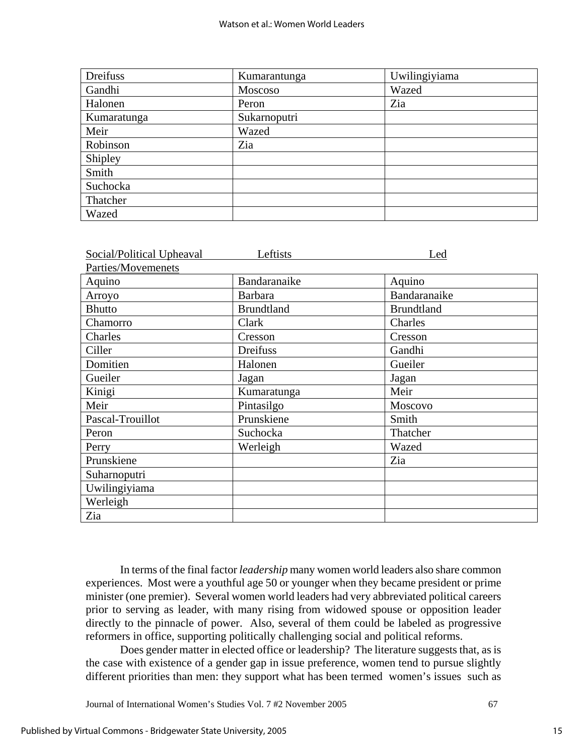| Dreifuss    | Kumarantunga | Uwilingiyiama |
|-------------|--------------|---------------|
| Gandhi      | Moscoso      | Wazed         |
| Halonen     | Peron        | Zia           |
| Kumaratunga | Sukarnoputri |               |
| Meir        | Wazed        |               |
| Robinson    | Zia          |               |
| Shipley     |              |               |
| Smith       |              |               |
| Suchocka    |              |               |
| Thatcher    |              |               |
| Wazed       |              |               |

| Social/Political Upheaval | Leftists          | Led               |
|---------------------------|-------------------|-------------------|
| Parties/Movemenets        |                   |                   |
| Aquino                    | Bandaranaike      | Aquino            |
| Arroyo                    | <b>Barbara</b>    | Bandaranaike      |
| <b>Bhutto</b>             | <b>Brundtland</b> | <b>Brundtland</b> |
| Chamorro                  | Clark             | Charles           |
| Charles                   | Cresson           | Cresson           |
| Ciller                    | Dreifuss          | Gandhi            |
| Domitien                  | Halonen           | Gueiler           |
| Gueiler                   | Jagan             | Jagan             |
| Kinigi                    | Kumaratunga       | Meir              |
| Meir                      | Pintasilgo        | Moscovo           |
| Pascal-Trouillot          | Prunskiene        | Smith             |
| Peron                     | Suchocka          | Thatcher          |
| Perry                     | Werleigh          | Wazed             |
| Prunskiene                |                   | Zia               |
| Suharnoputri              |                   |                   |
| Uwilingiyiama             |                   |                   |
| Werleigh                  |                   |                   |
| Zia                       |                   |                   |

In terms of the final factor *leadership* many women world leaders also share common experiences. Most were a youthful age 50 or younger when they became president or prime minister (one premier). Several women world leaders had very abbreviated political careers prior to serving as leader, with many rising from widowed spouse or opposition leader directly to the pinnacle of power. Also, several of them could be labeled as progressive reformers in office, supporting politically challenging social and political reforms.

Does gender matter in elected office or leadership? The literature suggests that, as is the case with existence of a gender gap in issue preference, women tend to pursue slightly different priorities than men: they support what has been termed women's issues such as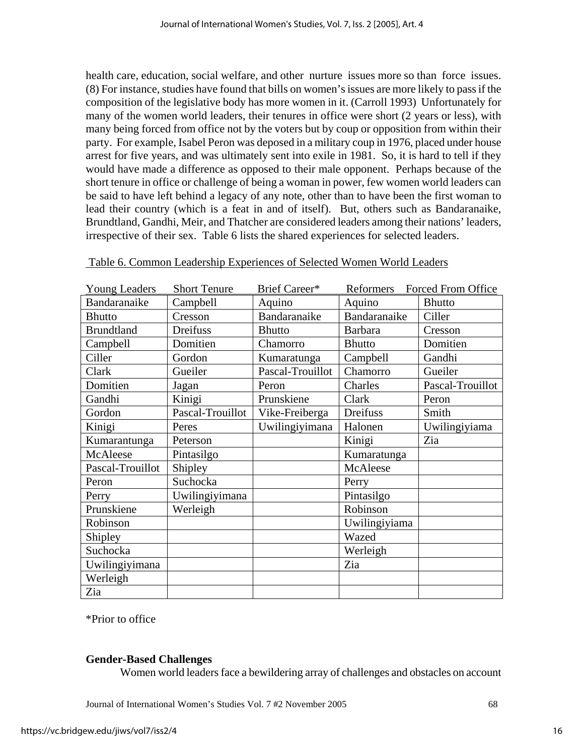health care, education, social welfare, and other nurture issues more so than force issues. (8) For instance, studies have found that bills on women's issues are more likely to pass if the composition of the legislative body has more women in it. (Carroll 1993) Unfortunately for many of the women world leaders, their tenures in office were short (2 years or less), with many being forced from office not by the voters but by coup or opposition from within their party. For example, Isabel Peron was deposed in a military coup in 1976, placed under house arrest for five years, and was ultimately sent into exile in 1981. So, it is hard to tell if they would have made a difference as opposed to their male opponent. Perhaps because of the short tenure in office or challenge of being a woman in power, few women world leaders can be said to have left behind a legacy of any note, other than to have been the first woman to lead their country (which is a feat in and of itself). But, others such as Bandaranaike, Brundtland, Gandhi, Meir, and Thatcher are considered leaders among their nations' leaders, irrespective of their sex. Table 6 lists the shared experiences for selected leaders.

| <b>Young Leaders</b> | <b>Short Tenure</b> | Brief Career*    | Reformers      | Forced From Office |
|----------------------|---------------------|------------------|----------------|--------------------|
| Bandaranaike         | Campbell            | Aquino           | Aquino         | <b>Bhutto</b>      |
| <b>Bhutto</b>        | Cresson             | Bandaranaike     | Bandaranaike   | Ciller             |
| <b>Brundtland</b>    | Dreifuss            | <b>Bhutto</b>    | <b>Barbara</b> | Cresson            |
| Campbell             | Domitien            | Chamorro         | <b>Bhutto</b>  | Domitien           |
| Ciller               | Gordon              | Kumaratunga      | Campbell       | Gandhi             |
| Clark                | Gueiler             | Pascal-Trouillot | Chamorro       | Gueiler            |
| Domitien             | Jagan               | Peron            | Charles        | Pascal-Trouillot   |
| Gandhi               | Kinigi              | Prunskiene       | Clark          | Peron              |
| Gordon               | Pascal-Trouillot    | Vike-Freiberga   | Dreifuss       | Smith              |
| Kinigi               | Peres               | Uwilingiyimana   | Halonen        | Uwilingiyiama      |
| Kumarantunga         | Peterson            |                  | Kinigi         | Zia                |
| McAleese             | Pintasilgo          |                  | Kumaratunga    |                    |
| Pascal-Trouillot     | Shipley             |                  | McAleese       |                    |
| Peron                | Suchocka            |                  | Perry          |                    |
| Perry                | Uwilingiyimana      |                  | Pintasilgo     |                    |
| Prunskiene           | Werleigh            |                  | Robinson       |                    |
| Robinson             |                     |                  | Uwilingiyiama  |                    |
| Shipley              |                     |                  | Wazed          |                    |
| Suchocka             |                     |                  | Werleigh       |                    |
| Uwilingiyimana       |                     |                  | Zia            |                    |
| Werleigh             |                     |                  |                |                    |
| Zia                  |                     |                  |                |                    |

| Table 6. Common Leadership Experiences of Selected Women World Leaders |
|------------------------------------------------------------------------|
|------------------------------------------------------------------------|

\*Prior to office

## **Gender-Based Challenges**

Women world leaders face a bewildering array of challenges and obstacles on account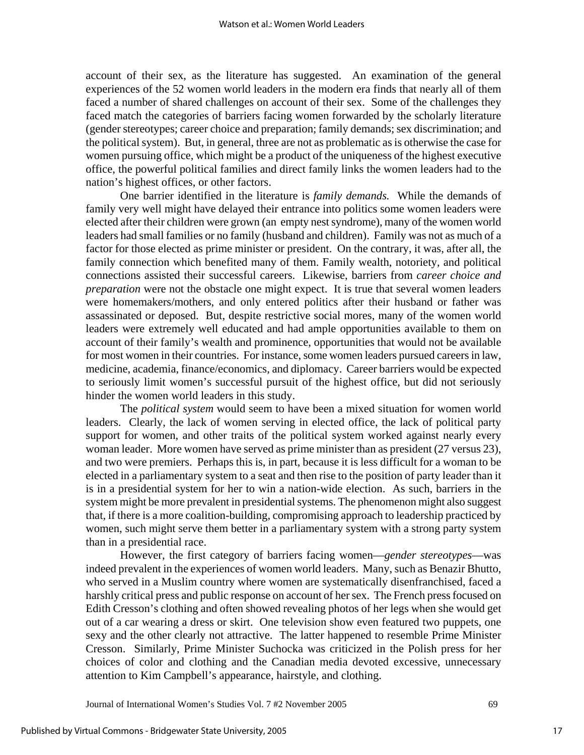account of their sex, as the literature has suggested. An examination of the general experiences of the 52 women world leaders in the modern era finds that nearly all of them faced a number of shared challenges on account of their sex. Some of the challenges they faced match the categories of barriers facing women forwarded by the scholarly literature (gender stereotypes; career choice and preparation; family demands; sex discrimination; and the political system). But, in general, three are not as problematic as is otherwise the case for women pursuing office, which might be a product of the uniqueness of the highest executive office, the powerful political families and direct family links the women leaders had to the nation's highest offices, or other factors.

One barrier identified in the literature is *family demands.* While the demands of family very well might have delayed their entrance into politics some women leaders were elected after their children were grown (an empty nest syndrome), many of the women world leaders had small families or no family (husband and children). Family was not as much of a factor for those elected as prime minister or president. On the contrary, it was, after all, the family connection which benefited many of them. Family wealth, notoriety, and political connections assisted their successful careers. Likewise, barriers from *career choice and preparation* were not the obstacle one might expect. It is true that several women leaders were homemakers/mothers, and only entered politics after their husband or father was assassinated or deposed. But, despite restrictive social mores, many of the women world leaders were extremely well educated and had ample opportunities available to them on account of their family's wealth and prominence, opportunities that would not be available for most women in their countries. For instance, some women leaders pursued careers in law, medicine, academia, finance/economics, and diplomacy. Career barriers would be expected to seriously limit women's successful pursuit of the highest office, but did not seriously hinder the women world leaders in this study.

The *political system* would seem to have been a mixed situation for women world leaders. Clearly, the lack of women serving in elected office, the lack of political party support for women, and other traits of the political system worked against nearly every woman leader. More women have served as prime minister than as president (27 versus 23), and two were premiers. Perhaps this is, in part, because it is less difficult for a woman to be elected in a parliamentary system to a seat and then rise to the position of party leader than it is in a presidential system for her to win a nation-wide election. As such, barriers in the system might be more prevalent in presidential systems. The phenomenon might also suggest that, if there is a more coalition-building, compromising approach to leadership practiced by women, such might serve them better in a parliamentary system with a strong party system than in a presidential race.

However, the first category of barriers facing women—*gender stereotypes*—was indeed prevalent in the experiences of women world leaders. Many, such as Benazir Bhutto, who served in a Muslim country where women are systematically disenfranchised, faced a harshly critical press and public response on account of her sex. The French press focused on Edith Cresson's clothing and often showed revealing photos of her legs when she would get out of a car wearing a dress or skirt. One television show even featured two puppets, one sexy and the other clearly not attractive. The latter happened to resemble Prime Minister Cresson. Similarly, Prime Minister Suchocka was criticized in the Polish press for her choices of color and clothing and the Canadian media devoted excessive, unnecessary attention to Kim Campbell's appearance, hairstyle, and clothing.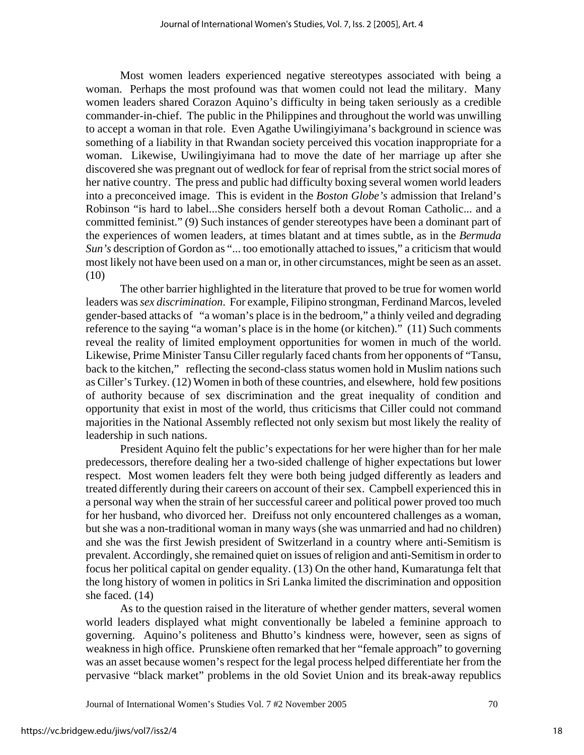Most women leaders experienced negative stereotypes associated with being a woman. Perhaps the most profound was that women could not lead the military. Many women leaders shared Corazon Aquino's difficulty in being taken seriously as a credible commander-in-chief. The public in the Philippines and throughout the world was unwilling to accept a woman in that role. Even Agathe Uwilingiyimana's background in science was something of a liability in that Rwandan society perceived this vocation inappropriate for a woman. Likewise, Uwilingiyimana had to move the date of her marriage up after she discovered she was pregnant out of wedlock for fear of reprisal from the strict social mores of her native country. The press and public had difficulty boxing several women world leaders into a preconceived image. This is evident in the *Boston Globe's* admission that Ireland's Robinson "is hard to label...She considers herself both a devout Roman Catholic... and a committed feminist." (9) Such instances of gender stereotypes have been a dominant part of the experiences of women leaders, at times blatant and at times subtle, as in the *Bermuda Sun's* description of Gordon as "... too emotionally attached to issues," a criticism that would most likely not have been used on a man or, in other circumstances, might be seen as an asset. (10)

The other barrier highlighted in the literature that proved to be true for women world leaders was *sex discrimination*. For example, Filipino strongman, Ferdinand Marcos, leveled gender-based attacks of "a woman's place is in the bedroom," a thinly veiled and degrading reference to the saying "a woman's place is in the home (or kitchen)." (11) Such comments reveal the reality of limited employment opportunities for women in much of the world. Likewise, Prime Minister Tansu Ciller regularly faced chants from her opponents of "Tansu, back to the kitchen," reflecting the second-class status women hold in Muslim nations such as Ciller's Turkey. (12) Women in both of these countries, and elsewhere, hold few positions of authority because of sex discrimination and the great inequality of condition and opportunity that exist in most of the world, thus criticisms that Ciller could not command majorities in the National Assembly reflected not only sexism but most likely the reality of leadership in such nations.

President Aquino felt the public's expectations for her were higher than for her male predecessors, therefore dealing her a two-sided challenge of higher expectations but lower respect. Most women leaders felt they were both being judged differently as leaders and treated differently during their careers on account of their sex. Campbell experienced this in a personal way when the strain of her successful career and political power proved too much for her husband, who divorced her. Dreifuss not only encountered challenges as a woman, but she was a non-traditional woman in many ways (she was unmarried and had no children) and she was the first Jewish president of Switzerland in a country where anti-Semitism is prevalent. Accordingly, she remained quiet on issues of religion and anti-Semitism in order to focus her political capital on gender equality. (13) On the other hand, Kumaratunga felt that the long history of women in politics in Sri Lanka limited the discrimination and opposition she faced. (14)

As to the question raised in the literature of whether gender matters, several women world leaders displayed what might conventionally be labeled a feminine approach to governing. Aquino's politeness and Bhutto's kindness were, however, seen as signs of weakness in high office. Prunskiene often remarked that her "female approach" to governing was an asset because women's respect for the legal process helped differentiate her from the pervasive "black market" problems in the old Soviet Union and its break-away republics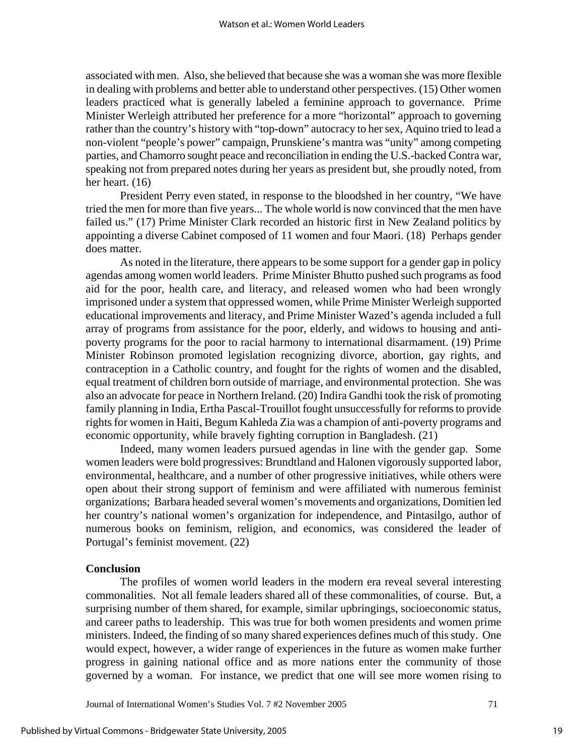associated with men. Also, she believed that because she was a woman she was more flexible in dealing with problems and better able to understand other perspectives. (15) Other women leaders practiced what is generally labeled a feminine approach to governance. Prime Minister Werleigh attributed her preference for a more "horizontal" approach to governing rather than the country's history with "top-down" autocracy to her sex, Aquino tried to lead a non-violent "people's power" campaign, Prunskiene's mantra was "unity" among competing parties, and Chamorro sought peace and reconciliation in ending the U.S.-backed Contra war, speaking not from prepared notes during her years as president but, she proudly noted, from her heart. (16)

President Perry even stated, in response to the bloodshed in her country, "We have tried the men for more than five years... The whole world is now convinced that the men have failed us." (17) Prime Minister Clark recorded an historic first in New Zealand politics by appointing a diverse Cabinet composed of 11 women and four Maori. (18) Perhaps gender does matter.

As noted in the literature, there appears to be some support for a gender gap in policy agendas among women world leaders. Prime Minister Bhutto pushed such programs as food aid for the poor, health care, and literacy, and released women who had been wrongly imprisoned under a system that oppressed women, while Prime Minister Werleigh supported educational improvements and literacy, and Prime Minister Wazed's agenda included a full array of programs from assistance for the poor, elderly, and widows to housing and antipoverty programs for the poor to racial harmony to international disarmament. (19) Prime Minister Robinson promoted legislation recognizing divorce, abortion, gay rights, and contraception in a Catholic country, and fought for the rights of women and the disabled, equal treatment of children born outside of marriage, and environmental protection. She was also an advocate for peace in Northern Ireland. (20) Indira Gandhi took the risk of promoting family planning in India, Ertha Pascal-Trouillot fought unsuccessfully for reforms to provide rights for women in Haiti, Begum Kahleda Zia was a champion of anti-poverty programs and economic opportunity, while bravely fighting corruption in Bangladesh. (21)

Indeed, many women leaders pursued agendas in line with the gender gap. Some women leaders were bold progressives: Brundtland and Halonen vigorously supported labor, environmental, healthcare, and a number of other progressive initiatives, while others were open about their strong support of feminism and were affiliated with numerous feminist organizations; Barbara headed several women's movements and organizations, Domitien led her country's national women's organization for independence, and Pintasilgo, author of numerous books on feminism, religion, and economics, was considered the leader of Portugal's feminist movement. (22)

#### **Conclusion**

The profiles of women world leaders in the modern era reveal several interesting commonalities. Not all female leaders shared all of these commonalities, of course. But, a surprising number of them shared, for example, similar upbringings, socioeconomic status, and career paths to leadership. This was true for both women presidents and women prime ministers. Indeed, the finding of so many shared experiences defines much of this study. One would expect, however, a wider range of experiences in the future as women make further progress in gaining national office and as more nations enter the community of those governed by a woman. For instance, we predict that one will see more women rising to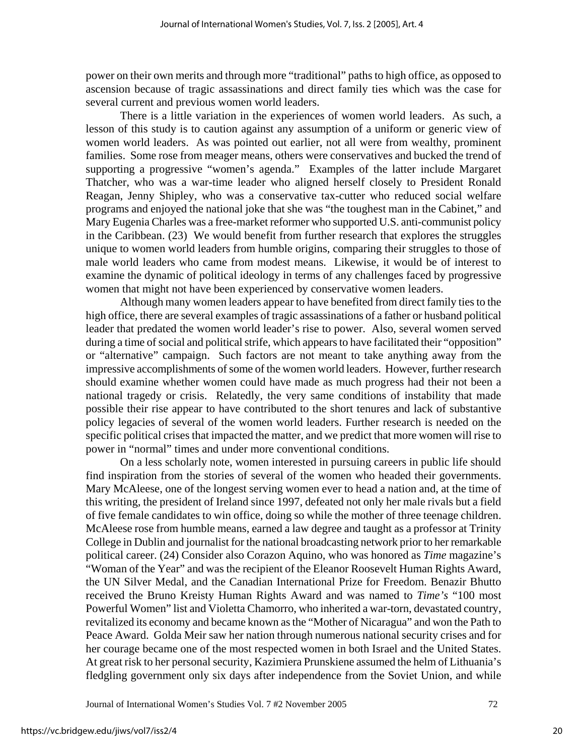power on their own merits and through more "traditional" paths to high office, as opposed to ascension because of tragic assassinations and direct family ties which was the case for several current and previous women world leaders.

There is a little variation in the experiences of women world leaders. As such, a lesson of this study is to caution against any assumption of a uniform or generic view of women world leaders. As was pointed out earlier, not all were from wealthy, prominent families. Some rose from meager means, others were conservatives and bucked the trend of supporting a progressive "women's agenda." Examples of the latter include Margaret Thatcher, who was a war-time leader who aligned herself closely to President Ronald Reagan, Jenny Shipley, who was a conservative tax-cutter who reduced social welfare programs and enjoyed the national joke that she was "the toughest man in the Cabinet," and Mary Eugenia Charles was a free-market reformer who supported U.S. anti-communist policy in the Caribbean. (23) We would benefit from further research that explores the struggles unique to women world leaders from humble origins, comparing their struggles to those of male world leaders who came from modest means. Likewise, it would be of interest to examine the dynamic of political ideology in terms of any challenges faced by progressive women that might not have been experienced by conservative women leaders.

Although many women leaders appear to have benefited from direct family ties to the high office, there are several examples of tragic assassinations of a father or husband political leader that predated the women world leader's rise to power. Also, several women served during a time of social and political strife, which appears to have facilitated their "opposition" or "alternative" campaign. Such factors are not meant to take anything away from the impressive accomplishments of some of the women world leaders. However, further research should examine whether women could have made as much progress had their not been a national tragedy or crisis. Relatedly, the very same conditions of instability that made possible their rise appear to have contributed to the short tenures and lack of substantive policy legacies of several of the women world leaders. Further research is needed on the specific political crises that impacted the matter, and we predict that more women will rise to power in "normal" times and under more conventional conditions.

On a less scholarly note, women interested in pursuing careers in public life should find inspiration from the stories of several of the women who headed their governments. Mary McAleese, one of the longest serving women ever to head a nation and, at the time of this writing, the president of Ireland since 1997, defeated not only her male rivals but a field of five female candidates to win office, doing so while the mother of three teenage children. McAleese rose from humble means, earned a law degree and taught as a professor at Trinity College in Dublin and journalist for the national broadcasting network prior to her remarkable political career. (24) Consider also Corazon Aquino, who was honored as *Time* magazine's "Woman of the Year" and was the recipient of the Eleanor Roosevelt Human Rights Award, the UN Silver Medal, and the Canadian International Prize for Freedom. Benazir Bhutto received the Bruno Kreisty Human Rights Award and was named to *Time's* "100 most Powerful Women" list and Violetta Chamorro, who inherited a war-torn, devastated country, revitalized its economy and became known as the "Mother of Nicaragua" and won the Path to Peace Award. Golda Meir saw her nation through numerous national security crises and for her courage became one of the most respected women in both Israel and the United States. At great risk to her personal security, Kazimiera Prunskiene assumed the helm of Lithuania's fledgling government only six days after independence from the Soviet Union, and while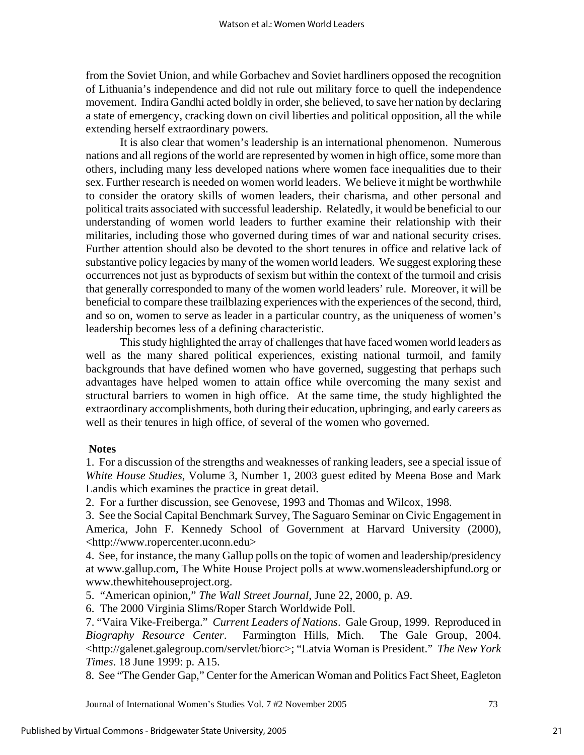from the Soviet Union, and while Gorbachev and Soviet hardliners opposed the recognition of Lithuania's independence and did not rule out military force to quell the independence movement. Indira Gandhi acted boldly in order, she believed, to save her nation by declaring a state of emergency, cracking down on civil liberties and political opposition, all the while extending herself extraordinary powers.

It is also clear that women's leadership is an international phenomenon. Numerous nations and all regions of the world are represented by women in high office, some more than others, including many less developed nations where women face inequalities due to their sex. Further research is needed on women world leaders. We believe it might be worthwhile to consider the oratory skills of women leaders, their charisma, and other personal and political traits associated with successful leadership. Relatedly, it would be beneficial to our understanding of women world leaders to further examine their relationship with their militaries, including those who governed during times of war and national security crises. Further attention should also be devoted to the short tenures in office and relative lack of substantive policy legacies by many of the women world leaders. We suggest exploring these occurrences not just as byproducts of sexism but within the context of the turmoil and crisis that generally corresponded to many of the women world leaders' rule. Moreover, it will be beneficial to compare these trailblazing experiences with the experiences of the second, third, and so on, women to serve as leader in a particular country, as the uniqueness of women's leadership becomes less of a defining characteristic.

This study highlighted the array of challenges that have faced women world leaders as well as the many shared political experiences, existing national turmoil, and family backgrounds that have defined women who have governed, suggesting that perhaps such advantages have helped women to attain office while overcoming the many sexist and structural barriers to women in high office. At the same time, the study highlighted the extraordinary accomplishments, both during their education, upbringing, and early careers as well as their tenures in high office, of several of the women who governed.

#### **Notes**

1. For a discussion of the strengths and weaknesses of ranking leaders, see a special issue of *White House Studies*, Volume 3, Number 1, 2003 guest edited by Meena Bose and Mark Landis which examines the practice in great detail.

2. For a further discussion, see Genovese, 1993 and Thomas and Wilcox, 1998.

3. See the Social Capital Benchmark Survey, The Saguaro Seminar on Civic Engagement in America, John F. Kennedy School of Government at Harvard University (2000), <http://www.ropercenter.uconn.edu>

4. See, for instance, the many Gallup polls on the topic of women and leadership/presidency at www.gallup.com, The White House Project polls at www.womensleadershipfund.org or www.thewhitehouseproject.org.

5. "American opinion," *The Wall Street Journal*, June 22, 2000, p. A9.

6. The 2000 Virginia Slims/Roper Starch Worldwide Poll.

7. "Vaira Vike-Freiberga." *Current Leaders of Nations*. Gale Group, 1999. Reproduced in *Biography Resource Center*. Farmington Hills, Mich. The Gale Group, 2004. <http://galenet.galegroup.com/servlet/biorc>; "Latvia Woman is President." *The New York Times*. 18 June 1999: p. A15.

8. See "The Gender Gap," Center for the American Woman and Politics Fact Sheet, Eagleton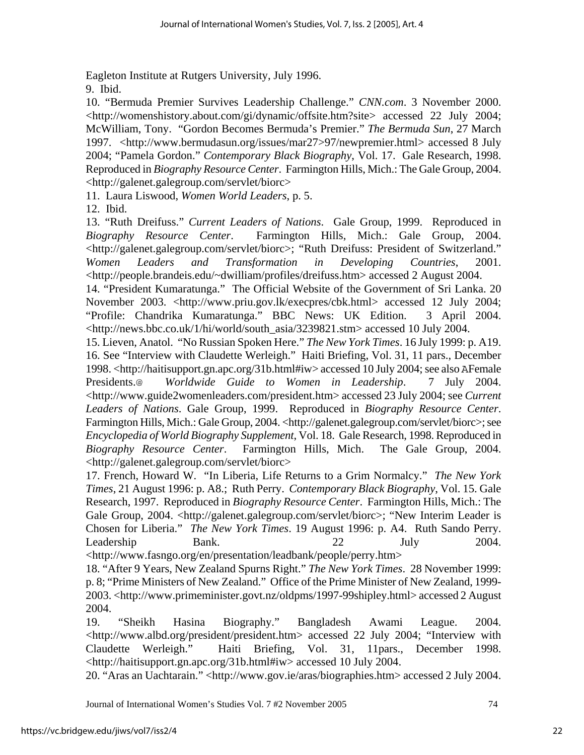Eagleton Institute at Rutgers University, July 1996.

9. Ibid.

10. "Bermuda Premier Survives Leadership Challenge." *CNN.com*. 3 November 2000. <http://womenshistory.about.com/gi/dynamic/offsite.htm?site> accessed 22 July 2004; McWilliam, Tony. "Gordon Becomes Bermuda's Premier." *The Bermuda Sun*, 27 March 1997. <http://www.bermudasun.org/issues/mar27>97/newpremier.html> accessed 8 July 2004; "Pamela Gordon." *Contemporary Black Biography*, Vol. 17. Gale Research, 1998. Reproduced in *Biography Resource Center*. Farmington Hills, Mich.: The Gale Group, 2004. <http://galenet.galegroup.com/servlet/biorc>

11. Laura Liswood, *Women World Leaders*, p. 5.

12. Ibid.

13. "Ruth Dreifuss." *Current Leaders of Nations*. Gale Group, 1999. Reproduced in *Biography Resource Center*. Farmington Hills, Mich.: Gale Group, 2004. <http://galenet.galegroup.com/servlet/biorc>; "Ruth Dreifuss: President of Switzerland." *Women Leaders and Transformation in Developing Countries*, 2001. <http://people.brandeis.edu/~dwilliam/profiles/dreifuss.htm> accessed 2 August 2004.

14. "President Kumaratunga." The Official Website of the Government of Sri Lanka. 20 November 2003. <http://www.priu.gov.lk/execpres/cbk.html> accessed 12 July 2004; "Profile: Chandrika Kumaratunga." BBC News: UK Edition. 3 April 2004. <http://news.bbc.co.uk/1/hi/world/south\_asia/3239821.stm> accessed 10 July 2004.

15. Lieven, Anatol. "No Russian Spoken Here." *The New York Times*. 16 July 1999: p. A19. 16. See "Interview with Claudette Werleigh." Haiti Briefing, Vol. 31, 11 pars., December 1998. <http://haitisupport.gn.apc.org/31b.html#iw> accessed 10 July 2004; see also AFemale Presidents.@ *Worldwide Guide to Women in Leadership*. 7 July 2004. <http://www.guide2womenleaders.com/president.htm> accessed 23 July 2004; see *Current Leaders of Nations*. Gale Group, 1999. Reproduced in *Biography Resource Center*. Farmington Hills, Mich.: Gale Group, 2004. <http://galenet.galegroup.com/servlet/biorc>; see *Encyclopedia of World Biography Supplement*, Vol. 18. Gale Research, 1998. Reproduced in *Biography Resource Center*. Farmington Hills, Mich. The Gale Group, 2004. <http://galenet.galegroup.com/servlet/biorc>

17. French, Howard W. "In Liberia, Life Returns to a Grim Normalcy." *The New York Times*, 21 August 1996: p. A8.; Ruth Perry. *Contemporary Black Biography*, Vol. 15. Gale Research, 1997. Reproduced in *Biography Resource Center*. Farmington Hills, Mich.: The Gale Group, 2004. <http://galenet.galegroup.com/servlet/biorc>; "New Interim Leader is Chosen for Liberia." *The New York Times*. 19 August 1996: p. A4. Ruth Sando Perry. Leadership Bank. 22 July 2004.

<http://www.fasngo.org/en/presentation/leadbank/people/perry.htm>

18. "After 9 Years, New Zealand Spurns Right." *The New York Times*. 28 November 1999: p. 8; "Prime Ministers of New Zealand." Office of the Prime Minister of New Zealand, 1999- 2003. <http://www.primeminister.govt.nz/oldpms/1997-99shipley.html> accessed 2 August 2004.

19. "Sheikh Hasina Biography." Bangladesh Awami League. 2004. <http://www.albd.org/president/president.htm> accessed 22 July 2004; "Interview with Claudette Werleigh." Haiti Briefing, Vol. 31, 11pars., December 1998. <http://haitisupport.gn.apc.org/31b.html#iw> accessed 10 July 2004.

20. "Aras an Uachtarain." <http://www.gov.ie/aras/biographies.htm> accessed 2 July 2004.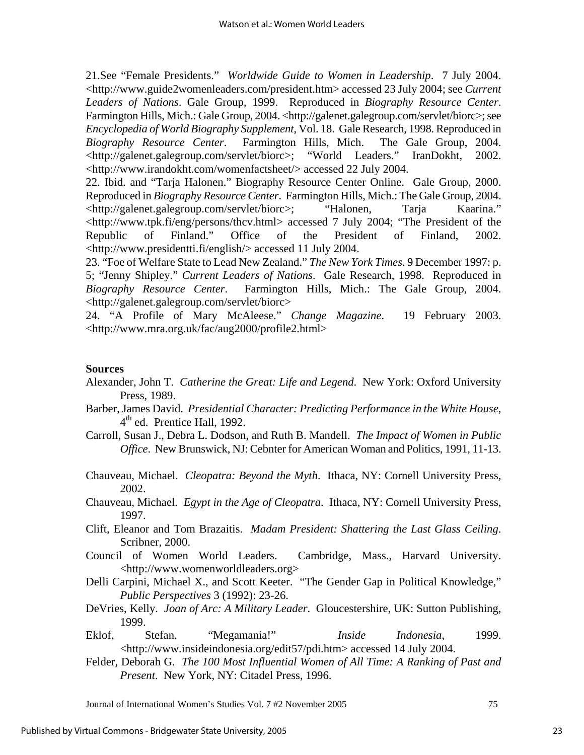21.See "Female Presidents." *Worldwide Guide to Women in Leadership*. 7 July 2004. <http://www.guide2womenleaders.com/president.htm> accessed 23 July 2004; see *Current Leaders of Nations*. Gale Group, 1999. Reproduced in *Biography Resource Center*. Farmington Hills, Mich.: Gale Group, 2004. <http://galenet.galegroup.com/servlet/biorc>; see *Encyclopedia of World Biography Supplement*, Vol. 18. Gale Research, 1998. Reproduced in *Biography Resource Center*. Farmington Hills, Mich. The Gale Group, 2004. <http://galenet.galegroup.com/servlet/biorc>; "World Leaders." IranDokht, 2002. <http://www.irandokht.com/womenfactsheet/> accessed 22 July 2004.

22. Ibid. and "Tarja Halonen." Biography Resource Center Online. Gale Group, 2000. Reproduced in *Biography Resource Center*. Farmington Hills, Mich.: The Gale Group, 2004. <http://galenet.galegroup.com/servlet/biorc>; "Halonen, Tarja Kaarina." <http://www.tpk.fi/eng/persons/thcv.html> accessed 7 July 2004; "The President of the Republic of Finland." Office of the President of Finland, 2002. <http://www.presidentti.fi/english/> accessed 11 July 2004.

23. "Foe of Welfare State to Lead New Zealand." *The New York Times*. 9 December 1997: p. 5; "Jenny Shipley." *Current Leaders of Nations*. Gale Research, 1998. Reproduced in *Biography Resource Center*. Farmington Hills, Mich.: The Gale Group, 2004. <http://galenet.galegroup.com/servlet/biorc>

24. "A Profile of Mary McAleese." *Change Magazine*. 19 February 2003. <http://www.mra.org.uk/fac/aug2000/profile2.html>

#### **Sources**

- Alexander, John T. *Catherine the Great: Life and Legend*. New York: Oxford University Press, 1989.
- Barber, James David. *Presidential Character: Predicting Performance in the White House*, 4<sup>th</sup> ed. Prentice Hall, 1992.
- Carroll, Susan J., Debra L. Dodson, and Ruth B. Mandell. *The Impact of Women in Public Office*. New Brunswick, NJ: Cebnter for American Woman and Politics, 1991, 11-13.
- Chauveau, Michael. *Cleopatra: Beyond the Myth*. Ithaca, NY: Cornell University Press, 2002.
- Chauveau, Michael. *Egypt in the Age of Cleopatra*. Ithaca, NY: Cornell University Press, 1997.
- Clift, Eleanor and Tom Brazaitis. *Madam President: Shattering the Last Glass Ceiling*. Scribner, 2000.
- Council of Women World Leaders. Cambridge, Mass., Harvard University. <http://www.womenworldleaders.org>
- Delli Carpini, Michael X., and Scott Keeter. "The Gender Gap in Political Knowledge," *Public Perspectives* 3 (1992): 23-26.
- DeVries, Kelly. *Joan of Arc: A Military Leader*. Gloucestershire, UK: Sutton Publishing, 1999.
- Eklof, Stefan. "Megamania!" *Inside Indonesia*, 1999. <http://www.insideindonesia.org/edit57/pdi.htm> accessed 14 July 2004.
- Felder, Deborah G. *The 100 Most Influential Women of All Time: A Ranking of Past and Present*. New York, NY: Citadel Press, 1996.